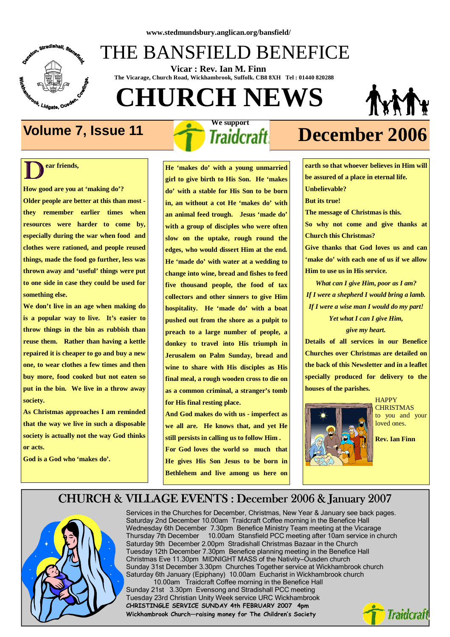

## THE BANSFIELD BENEFICE

 **Vicar : Rev. Ian M. Finn The Vicarage, Church Road, Wickhambrook, Suffolk. CB8 8XH Tel : 01440 820288**

# **CHURCH NEWS**



 $\overline{\mathbf{D}}^{\text{ea}}$ **ear friends,** 

**How good are you at 'making do'? Older people are better at this than most they remember earlier times when resources were harder to come by, especially during the war when food and clothes were rationed, and people reused things, made the food go further, less was thrown away and 'useful' things were put to one side in case they could be used for something else.** 

**We don't live in an age when making do is a popular way to live. It's easier to throw things in the bin as rubbish than reuse them. Rather than having a kettle repaired it is cheaper to go and buy a new one, to wear clothes a few times and then buy more, food cooked but not eaten so put in the bin. We live in a throw away society.** 

**As Christmas approaches I am reminded that the way we live in such a disposable society is actually not the way God thinks or acts.** 

**God is a God who 'makes do'.** 

 **We support** 

**He 'makes do' with a young unmarried girl to give birth to His Son. He 'makes do' with a stable for His Son to be born in, an without a cot He 'makes do' with an animal feed trough. Jesus 'made do' with a group of disciples who were often slow on the uptake, rough round the edges, who would dissert Him at the end. He 'made do' with water at a wedding to change into wine, bread and fishes to feed five thousand people, the food of tax collectors and other sinners to give Him hospitality. He 'made do' with a boat pushed out from the shore as a pulpit to preach to a large number of people, a donkey to travel into His triumph in Jerusalem on Palm Sunday, bread and wine to share with His disciples as His final meal, a rough wooden cross to die on as a common criminal, a stranger's tomb for His final resting place.** 

**And God makes do with us - imperfect as we all are. He knows that, and yet He still persists in calling us to follow Him . For God loves the world so much that He gives His Son Jesus to be born in Bethlehem and live among us here on** 

## **Volume 7, Issue 11** *Traidcraft* **December 2006**

**earth so that whoever believes in Him will be assured of a place in eternal life. Unbelievable? But its true! The message of Christmas is this. So why not come and give thanks at Church this Christmas? Give thanks that God loves us and can 'make do' with each one of us if we allow Him to use us in His service.** 

*What can I give Him, poor as I am? If I were a shepherd I would bring a lamb. If I were a wise man I would do my part!* 

*Yet what I can I give Him, give my heart.* 

**Details of all services in our Benefice Churches over Christmas are detailed on the back of this Newsletter and in a leaflet specially produced for delivery to the houses of the parishes.** 



**HAPPY CHRISTMAS** to you and your loved ones.

**Rev. Ian Finn** 

#### CHURCH & VILLAGE EVENTS : December 2006 & January 2007



Saturday 6th January (Epiphany) 10.00am Eucharist in Wickhambrook church Services in the Churches for December, Christmas, New Year & January see back pages. Saturday 2nd December 10.00am Traidcraft Coffee morning in the Benefice Hall Wednesday 6th December 7.30pm Benefice Ministry Team meeting at the Vicarage Thursday 7th December 10.00am Stansfield PCC meeting after 10am service in church Saturday 9th December 2.00pm Stradishall Christmas Bazaar in the Church Tuesday 12th December 7.30pm Benefice planning meeting in the Benefice Hall Christmas Eve 11.30pm MIDNIGHT MASS of the Nativity—Ousden church Sunday 31st December 3.30pm Churches Together service at Wickhambrook church 10.00am Traidcraft Coffee morning in the Benefice Hall

Sunday 21st 3.30pm Evensong and Stradishall PCC meeting Tuesday 23rd Christian Unity Week service URC Wickhambrook CHRISTINGLE SERVICE SUNDAY 4th FEBRUARY 2007 4pm Wickhambrook Church—raising money for The Children's Society